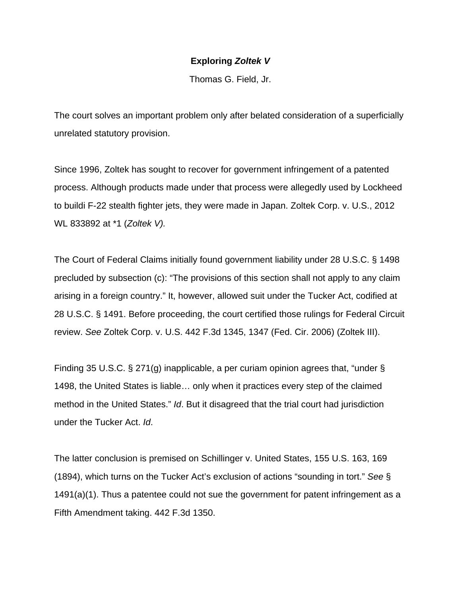## **Exploring** *Zoltek V*

Thomas G. Field, Jr.

The court solves an important problem only after belated consideration of a superficially unrelated statutory provision.

Since 1996, Zoltek has sought to recover for government infringement of a patented process. Although products made under that process were allegedly used by Lockheed to buildi F-22 stealth fighter jets, they were made in Japan. Zoltek Corp. v. U.S., 2012 WL 833892 at \*1 (*Zoltek V).*

The Court of Federal Claims initially found government liability under 28 U.S.C. § 1498 precluded by subsection (c): "The provisions of this section shall not apply to any claim arising in a foreign country." It, however, allowed suit under the Tucker Act, codified at 28 U.S.C. § 1491. Before proceeding, the court certified those rulings for Federal Circuit review. *See* Zoltek Corp. v. U.S. 442 F.3d 1345, 1347 (Fed. Cir. 2006) (Zoltek III).

Finding 35 U.S.C. § 271(g) inapplicable, a per curiam opinion agrees that, "under § 1498, the United States is liable… only when it practices every step of the claimed method in the United States." *Id*. But it disagreed that the trial court had jurisdiction under the Tucker Act. *Id*.

The latter conclusion is premised on Schillinger v. United States, 155 U.S. 163, 169 (1894), which turns on the Tucker Act's exclusion of actions "sounding in tort." *See* § 1491(a)(1). Thus a patentee could not sue the government for patent infringement as a Fifth Amendment taking. 442 F.3d 1350.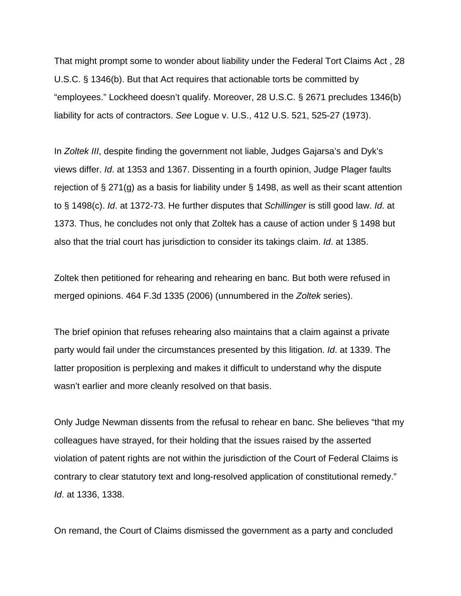That might prompt some to wonder about liability under the Federal Tort Claims Act , 28 U.S.C. § 1346(b). But that Act requires that actionable torts be committed by "employees." Lockheed doesn't qualify. Moreover, 28 U.S.C. § 2671 precludes 1346(b) liability for acts of contractors. *See* Logue v. U.S., 412 U.S. 521, 525-27 (1973).

In *Zoltek III*, despite finding the government not liable, Judges Gajarsa's and Dyk's views differ. *Id*. at 1353 and 1367. Dissenting in a fourth opinion, Judge Plager faults rejection of § 271(g) as a basis for liability under § 1498, as well as their scant attention to § 1498(c). *Id*. at 1372-73. He further disputes that *Schillinger* is still good law. *Id*. at 1373. Thus, he concludes not only that Zoltek has a cause of action under § 1498 but also that the trial court has jurisdiction to consider its takings claim. *Id*. at 1385.

Zoltek then petitioned for rehearing and rehearing en banc. But both were refused in merged opinions. 464 F.3d 1335 (2006) (unnumbered in the *Zoltek* series).

The brief opinion that refuses rehearing also maintains that a claim against a private party would fail under the circumstances presented by this litigation. *Id*. at 1339. The latter proposition is perplexing and makes it difficult to understand why the dispute wasn't earlier and more cleanly resolved on that basis.

Only Judge Newman dissents from the refusal to rehear en banc. She believes "that my colleagues have strayed, for their holding that the issues raised by the asserted violation of patent rights are not within the jurisdiction of the Court of Federal Claims is contrary to clear statutory text and long-resolved application of constitutional remedy." *Id*. at 1336, 1338.

On remand, the Court of Claims dismissed the government as a party and concluded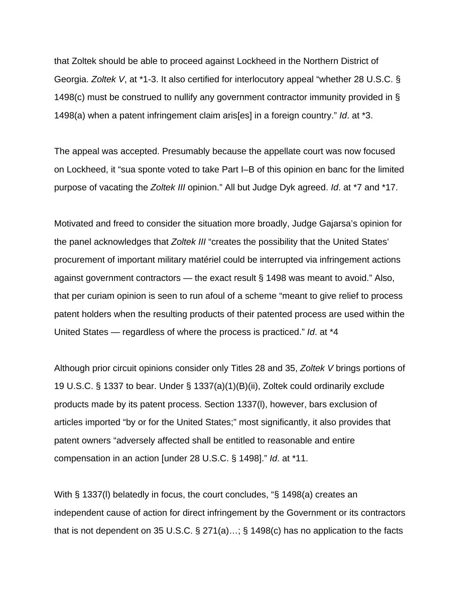that Zoltek should be able to proceed against Lockheed in the Northern District of Georgia. *Zoltek V*, at \*1-3. It also certified for interlocutory appeal "whether 28 U.S.C. § 1498(c) must be construed to nullify any government contractor immunity provided in § 1498(a) when a patent infringement claim aris[es] in a foreign country." *Id*. at \*3.

The appeal was accepted. Presumably because the appellate court was now focused on Lockheed, it "sua sponte voted to take Part I–B of this opinion en banc for the limited purpose of vacating the *Zoltek III* opinion." All but Judge Dyk agreed. *Id*. at \*7 and \*17.

Motivated and freed to consider the situation more broadly, Judge Gajarsa's opinion for the panel acknowledges that *Zoltek III* "creates the possibility that the United States' procurement of important military matériel could be interrupted via infringement actions against government contractors — the exact result § 1498 was meant to avoid." Also, that per curiam opinion is seen to run afoul of a scheme "meant to give relief to process patent holders when the resulting products of their patented process are used within the United States — regardless of where the process is practiced." *Id*. at \*4

Although prior circuit opinions consider only Titles 28 and 35, *Zoltek V* brings portions of 19 U.S.C. § 1337 to bear. Under § 1337(a)(1)(B)(ii), Zoltek could ordinarily exclude products made by its patent process. Section 1337(l), however, bars exclusion of articles imported "by or for the United States;" most significantly, it also provides that patent owners "adversely affected shall be entitled to reasonable and entire compensation in an action [under 28 U.S.C. § 1498]." *Id*. at \*11.

With § 1337(l) belatedly in focus, the court concludes, "§ 1498(a) creates an independent cause of action for direct infringement by the Government or its contractors that is not dependent on 35 U.S.C. § 271(a)…; § 1498(c) has no application to the facts